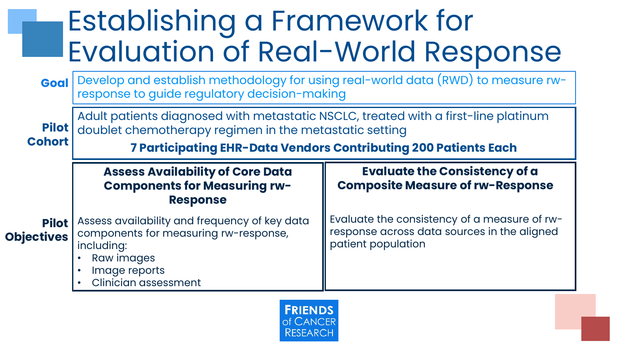## Establishing a Framework for Evaluation of Real-World Response

Develop and establish methodology for using real-world data (RWD) to measure rwresponse to guide regulatory decision-making **Goal**

Adult patients diagnosed with metastatic NSCLC, treated with a first-line platinum doublet chemotherapy regimen in the metastatic setting **Pilot Cohort**

**7 Participating EHR-Data Vendors Contributing 200 Patients Each**

### **Assess Availability of Core Data Components for Measuring rw-Response**

Assess availability and frequency of key data components for measuring rw-response, including: **Pilot Objectives**

### **Evaluate the Consistency of a Composite Measure of rw-Response**

Evaluate the consistency of a measure of rwresponse across data sources in the aligned patient population

- Raw images
- Image reports
- Clinician assessment

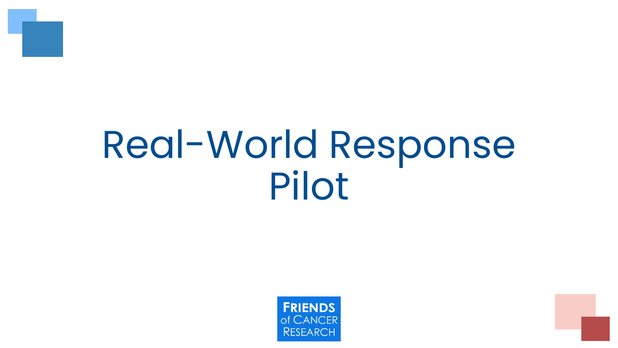

# Real-World Response Pilot

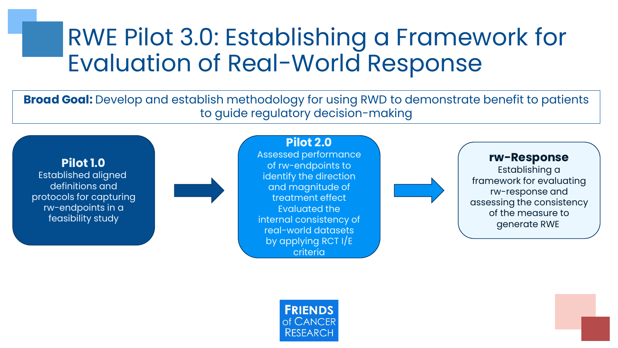### RWE Pilot 3.0: Establishing a Framework for Evaluation of Real-World Response

**Broad Goal:** Develop and establish methodology for using RWD to demonstrate benefit to patients to guide regulatory decision-making

**Pilot 1.0** Established aligned definitions and protocols for capturing rw-endpoints in a feasibility study



**Pilot 2.0**

Assessed performance of rw-endpoints to identify the direction and magnitude of treatment effect Evaluated the internal consistency of real-world datasets by applying RCT I/E criteria



**rw-Response**

Establishing a framework for evaluating rw-response and assessing the consistency of the measure to generate RWE

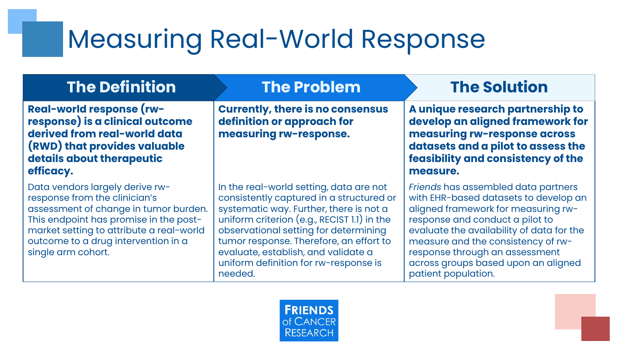## Measuring Real-World Response

### **The Definition The Problem The Solution**

**Real-world response (rwresponse) is a clinical outcome derived from real-world data (RWD) that provides valuable details about therapeutic efficacy.** 

Data vendors largely derive rwresponse from the clinician's assessment of change in tumor burden. This endpoint has promise in the postmarket setting to attribute a real-world outcome to a drug intervention in a single arm cohort.

**Currently, there is no consensus definition or approach for measuring rw-response.**

In the real-world setting, data are not consistently captured in a structured or systematic way. Further, there is not a uniform criterion (e.g., RECIST 1.1) in the observational setting for determining tumor response. Therefore, an effort to evaluate, establish, and validate a uniform definition for rw-response is needed.

**A unique research partnership to develop an aligned framework for measuring rw-response across datasets and a pilot to assess the feasibility and consistency of the measure.**

*Friends* has assembled data partners with EHR-based datasets to develop an aligned framework for measuring rwresponse and conduct a pilot to evaluate the availability of data for the measure and the consistency of rwresponse through an assessment across groups based upon an aligned patient population.

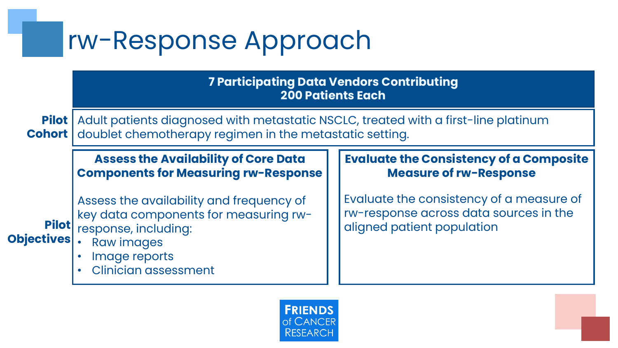## rw-Response Approach

**7 Participating Data Vendors Contributing 200 Patients Each**

**Pilot** | Adult patients diagnosed with metastatic NSCLC, treated with a first-line platinum doublet chemotherapy regimen in the metastatic setting. **Cohort**

**Assess the Availability of Core Data Components for Measuring rw-Response**

Assess the availability and frequency of key data components for measuring rw-**Pilot** response, including:

### **Raw images Objectives**

- Image reports
- Clinician assessment

### **Evaluate the Consistency of a Composite Measure of rw-Response**

Evaluate the consistency of a measure of rw-response across data sources in the aligned patient population

**FRIENDS** of CANCER **RESEARCH**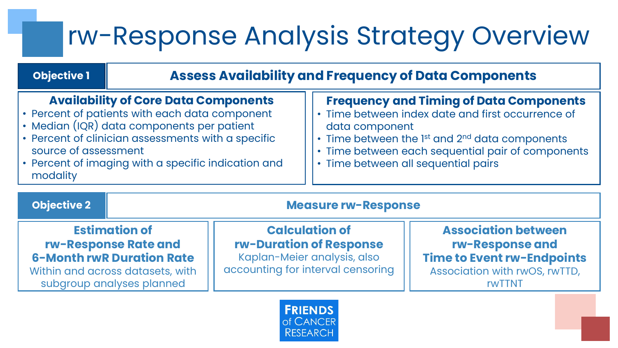## rw-Response Analysis Strategy Overview

| <b>Objective 1</b>                                                                                                                                                                                                                                                                           | <b>Assess Availability and Frequency of Data Components</b> |                                                                                                                             |                                                                                                                                                                                                                                                                                            |                                                                                                                                      |  |  |
|----------------------------------------------------------------------------------------------------------------------------------------------------------------------------------------------------------------------------------------------------------------------------------------------|-------------------------------------------------------------|-----------------------------------------------------------------------------------------------------------------------------|--------------------------------------------------------------------------------------------------------------------------------------------------------------------------------------------------------------------------------------------------------------------------------------------|--------------------------------------------------------------------------------------------------------------------------------------|--|--|
| <b>Availability of Core Data Components</b><br>• Percent of patients with each data component<br>• Median (IQR) data components per patient<br>• Percent of clinician assessments with a specific<br>source of assessment<br>• Percent of imaging with a specific indication and<br>modality |                                                             |                                                                                                                             | <b>Frequency and Timing of Data Components</b><br>Time between index date and first occurrence of<br>$\bullet$<br>data component<br>• Time between the 1st and 2 <sup>nd</sup> data components<br>• Time between each sequential pair of components<br>· Time between all sequential pairs |                                                                                                                                      |  |  |
| <b>Objective 2</b>                                                                                                                                                                                                                                                                           |                                                             | <b>Measure rw-Response</b>                                                                                                  |                                                                                                                                                                                                                                                                                            |                                                                                                                                      |  |  |
| <b>Estimation of</b><br>rw-Response Rate and<br><b>6-Month rwR Duration Rate</b><br>Within and across datasets, with<br>subgroup analyses planned                                                                                                                                            |                                                             | <b>Calculation of</b><br><b>rw-Duration of Response</b><br>Kaplan-Meier analysis, also<br>accounting for interval censoring |                                                                                                                                                                                                                                                                                            | <b>Association between</b><br>rw-Response and<br><b>Time to Event rw-Endpoints</b><br>Association with rwOS, rwTTD,<br><b>rwTTNT</b> |  |  |

rwTTNT